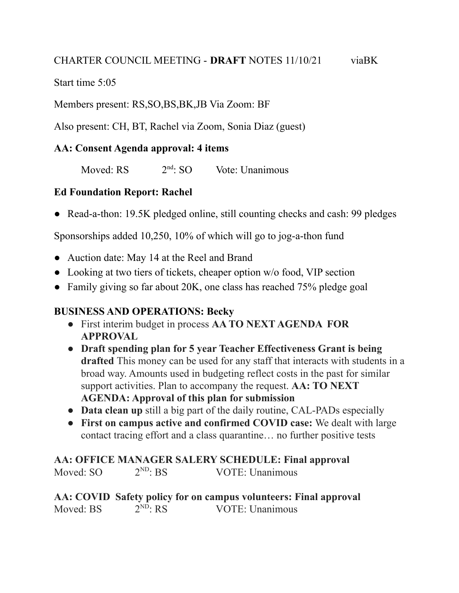#### CHARTER COUNCIL MEETING - **DRAFT** NOTES 11/10/21 viaBK

Start time 5:05

Members present: RS,SO,BS,BK,JB Via Zoom: BF

Also present: CH, BT, Rachel via Zoom, Sonia Diaz (guest)

## **AA: Consent Agenda approval: 4 items**

Moved: RS  $2<sup>nd</sup>$ : SO Vote: Unanimous

## **Ed Foundation Report: Rachel**

• Read-a-thon: 19.5K pledged online, still counting checks and cash: 99 pledges

Sponsorships added 10,250, 10% of which will go to jog-a-thon fund

- Auction date: May 14 at the Reel and Brand
- Looking at two tiers of tickets, cheaper option w/o food, VIP section
- Family giving so far about 20K, one class has reached 75% pledge goal

#### **BUSINESS AND OPERATIONS: Becky**

- **●** First interim budget in process **AA TO NEXT AGENDA FOR APPROVAL**
- **● Draft spending plan for 5 year Teacher Effectiveness Grant is being drafted** This money can be used for any staff that interacts with students in a broad way. Amounts used in budgeting reflect costs in the past for similar support activities. Plan to accompany the request. **AA: TO NEXT AGENDA: Approval of this plan for submission**
- **● Data clean up** still a big part of the daily routine, CAL-PADs especially
- **● First on campus active and confirmed COVID case:** We dealt with large contact tracing effort and a class quarantine… no further positive tests

#### **AA: OFFICE MANAGER SALERY SCHEDULE: Final approval** Moved: SO  $2^{ND}$ : BS VOTE: Unanimous

**AA: COVID Safety policy for on campus volunteers: Final approval** Moved: BS  $2^{ND}$ : RS VOTE: Unanimous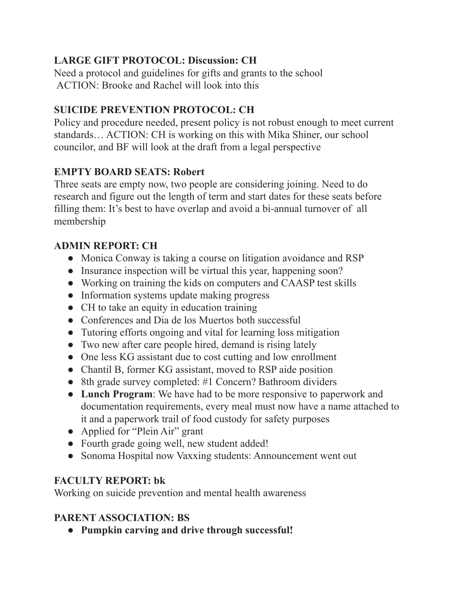## **LARGE GIFT PROTOCOL: Discussion: CH**

Need a protocol and guidelines for gifts and grants to the school ACTION: Brooke and Rachel will look into this

# **SUICIDE PREVENTION PROTOCOL: CH**

Policy and procedure needed, present policy is not robust enough to meet current standards… ACTION: CH is working on this with Mika Shiner, our school councilor, and BF will look at the draft from a legal perspective

## **EMPTY BOARD SEATS: Robert**

Three seats are empty now, two people are considering joining. Need to do research and figure out the length of term and start dates for these seats before filling them: It's best to have overlap and avoid a bi-annual turnover of all membership

## **ADMIN REPORT: CH**

- **●** Monica Conway is taking a course on litigation avoidance and RSP
- **●** Insurance inspection will be virtual this year, happening soon?
- **●** Working on training the kids on computers and CAASP test skills
- **●** Information systems update making progress
- **●** CH to take an equity in education training
- **●** Conferences and Dia de los Muertos both successful
- **●** Tutoring efforts ongoing and vital for learning loss mitigation
- **●** Two new after care people hired, demand is rising lately
- **●** One less KG assistant due to cost cutting and low enrollment
- **●** Chantil B, former KG assistant, moved to RSP aide position
- **●** 8th grade survey completed: #1 Concern? Bathroom dividers
- **● Lunch Program**: We have had to be more responsive to paperwork and documentation requirements, every meal must now have a name attached to it and a paperwork trail of food custody for safety purposes
- **●** Applied for "Plein Air" grant
- **●** Fourth grade going well, new student added!
- **●** Sonoma Hospital now Vaxxing students: Announcement went out

# **FACULTY REPORT: bk**

Working on suicide prevention and mental health awareness

# **PARENT ASSOCIATION: BS**

**● Pumpkin carving and drive through successful!**